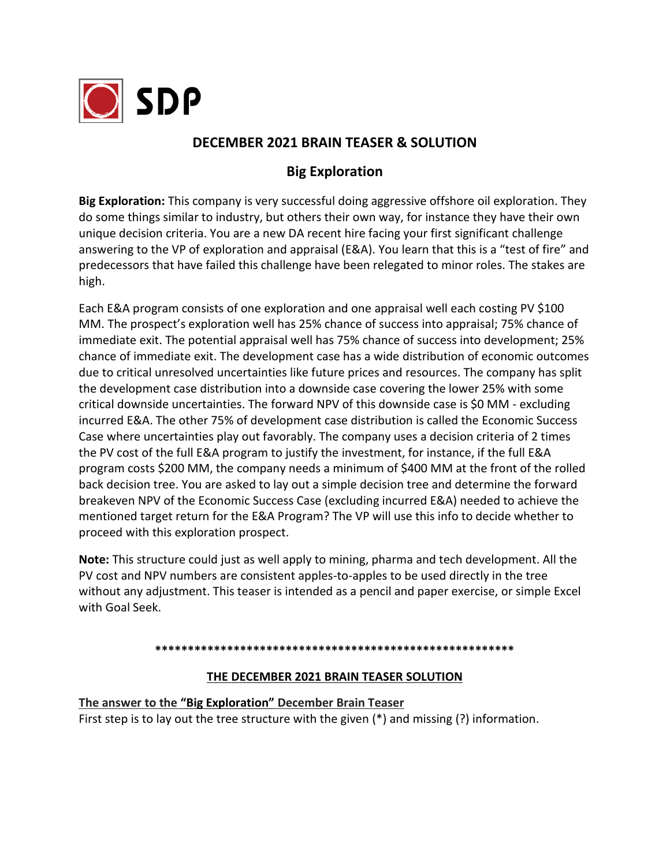

## **DECEMBER 2021 BRAIN TEASER & SOLUTION**

## **Big Exploration**

**Big Exploration:** This company is very successful doing aggressive offshore oil exploration. They do some things similar to industry, but others their own way, for instance they have their own unique decision criteria. You are a new DA recent hire facing your first significant challenge answering to the VP of exploration and appraisal (E&A). You learn that this is a "test of fire" and predecessors that have failed this challenge have been relegated to minor roles. The stakes are high.

Each E&A program consists of one exploration and one appraisal well each costing PV \$100 MM. The prospect's exploration well has 25% chance of success into appraisal; 75% chance of immediate exit. The potential appraisal well has 75% chance of success into development; 25% chance of immediate exit. The development case has a wide distribution of economic outcomes due to critical unresolved uncertainties like future prices and resources. The company has split the development case distribution into a downside case covering the lower 25% with some critical downside uncertainties. The forward NPV of this downside case is \$0 MM - excluding incurred E&A. The other 75% of development case distribution is called the Economic Success Case where uncertainties play out favorably. The company uses a decision criteria of 2 times the PV cost of the full E&A program to justify the investment, for instance, if the full E&A program costs \$200 MM, the company needs a minimum of \$400 MM at the front of the rolled back decision tree. You are asked to lay out a simple decision tree and determine the forward breakeven NPV of the Economic Success Case (excluding incurred E&A) needed to achieve the mentioned target return for the E&A Program? The VP will use this info to decide whether to proceed with this exploration prospect.

**Note:** This structure could just as well apply to mining, pharma and tech development. All the PV cost and NPV numbers are consistent apples-to-apples to be used directly in the tree without any adjustment. This teaser is intended as a pencil and paper exercise, or simple Excel with Goal Seek.

## **\*\*\*\*\*\*\*\*\*\*\*\*\*\*\*\*\*\*\*\*\*\*\*\*\*\*\*\*\*\*\*\*\*\*\*\*\*\*\*\*\*\*\*\*\*\*\*\*\*\*\*\*\*\*\***

## **THE DECEMBER 2021 BRAIN TEASER SOLUTION**

**The answer to the "Big Exploration" December Brain Teaser** First step is to lay out the tree structure with the given (\*) and missing (?) information.